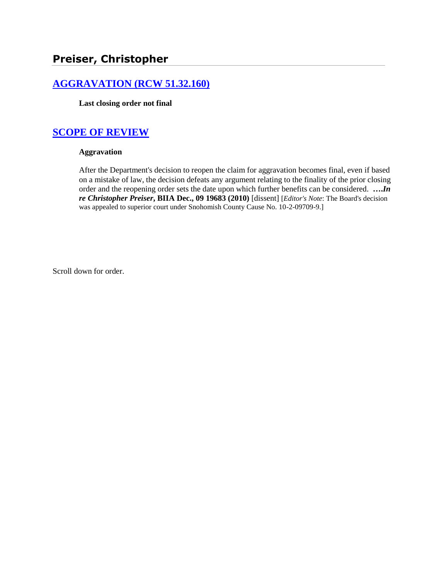# **[AGGRAVATION \(RCW 51.32.160\)](http://www.biia.wa.gov/SDSubjectIndex.html#AGGRAVATION)**

**Last closing order not final**

# **[SCOPE OF REVIEW](http://www.biia.wa.gov/SDSubjectIndex.html#SCOPE_OF_REVIEW)**

#### **Aggravation**

After the Department's decision to reopen the claim for aggravation becomes final, even if based on a mistake of law, the decision defeats any argument relating to the finality of the prior closing order and the reopening order sets the date upon which further benefits can be considered. **….***In re Christopher Preiser***, BIIA Dec., 09 19683 (2010)** [dissent] [*Editor's Note*: The Board's decision was appealed to superior court under Snohomish County Cause No. 10-2-09709-9.]

Scroll down for order.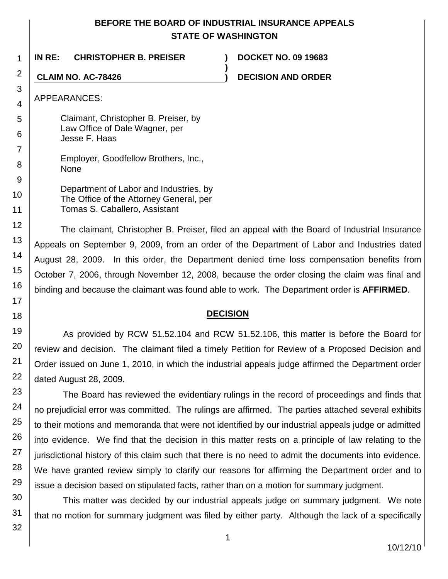# **BEFORE THE BOARD OF INDUSTRIAL INSURANCE APPEALS STATE OF WASHINGTON**

**)**

**IN RE: CHRISTOPHER B. PREISER ) DOCKET NO. 09 19683**

**CLAIM NO. AC-78426 ) DECISION AND ORDER**

APPEARANCES:

1

2

3

4

5

6

7

8

9

10

11

12

13

14

15

16

17

18 19

20

21

22

23

24

25

26

27

28

29

Claimant, Christopher B. Preiser, by Law Office of Dale Wagner, per Jesse F. Haas

Employer, Goodfellow Brothers, Inc., None

Department of Labor and Industries, by The Office of the Attorney General, per Tomas S. Caballero, Assistant

The claimant, Christopher B. Preiser, filed an appeal with the Board of Industrial Insurance Appeals on September 9, 2009, from an order of the Department of Labor and Industries dated August 28, 2009. In this order, the Department denied time loss compensation benefits from October 7, 2006, through November 12, 2008, because the order closing the claim was final and binding and because the claimant was found able to work. The Department order is **AFFIRMED**.

## **DECISION**

As provided by RCW 51.52.104 and RCW 51.52.106, this matter is before the Board for review and decision. The claimant filed a timely Petition for Review of a Proposed Decision and Order issued on June 1, 2010, in which the industrial appeals judge affirmed the Department order dated August 28, 2009.

The Board has reviewed the evidentiary rulings in the record of proceedings and finds that no prejudicial error was committed. The rulings are affirmed. The parties attached several exhibits to their motions and memoranda that were not identified by our industrial appeals judge or admitted into evidence. We find that the decision in this matter rests on a principle of law relating to the jurisdictional history of this claim such that there is no need to admit the documents into evidence. We have granted review simply to clarify our reasons for affirming the Department order and to issue a decision based on stipulated facts, rather than on a motion for summary judgment.

30 This matter was decided by our industrial appeals judge on summary judgment. We note that no motion for summary judgment was filed by either party. Although the lack of a specifically

31 32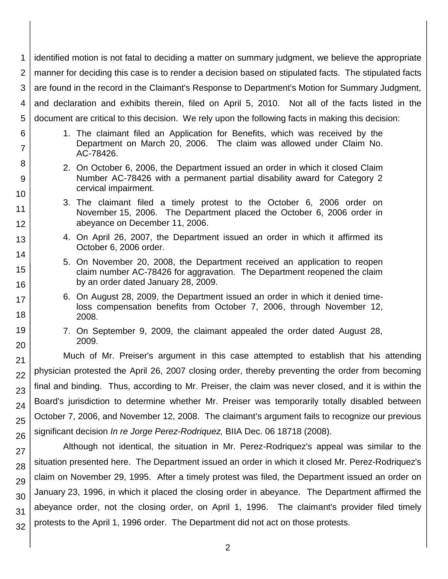| 1              | identified motion is not fatal to deciding a matter on summary judgment, we believe the appropriate                                                     |  |  |
|----------------|---------------------------------------------------------------------------------------------------------------------------------------------------------|--|--|
| 2              | manner for deciding this case is to render a decision based on stipulated facts. The stipulated facts                                                   |  |  |
| 3              | are found in the record in the Claimant's Response to Department's Motion for Summary Judgment,                                                         |  |  |
| 4              | and declaration and exhibits therein, filed on April 5, 2010. Not all of the facts listed in the                                                        |  |  |
| 5              | document are critical to this decision. We rely upon the following facts in making this decision:                                                       |  |  |
| 6              | 1. The claimant filed an Application for Benefits, which was received by the                                                                            |  |  |
| $\overline{7}$ | Department on March 20, 2006. The claim was allowed under Claim No.<br>AC-78426.                                                                        |  |  |
| 8              | 2. On October 6, 2006, the Department issued an order in which it closed Claim                                                                          |  |  |
| 9              | Number AC-78426 with a permanent partial disability award for Category 2<br>cervical impairment.                                                        |  |  |
| 10<br>11       | 3. The claimant filed a timely protest to the October 6, 2006 order on                                                                                  |  |  |
| 12             | November 15, 2006. The Department placed the October 6, 2006 order in<br>abeyance on December 11, 2006.                                                 |  |  |
| 13             | 4. On April 26, 2007, the Department issued an order in which it affirmed its                                                                           |  |  |
| 14             | October 6, 2006 order.                                                                                                                                  |  |  |
| 15             | 5. On November 20, 2008, the Department received an application to reopen<br>claim number AC-78426 for aggravation. The Department reopened the claim   |  |  |
| 16             | by an order dated January 28, 2009.                                                                                                                     |  |  |
| 17             | 6. On August 28, 2009, the Department issued an order in which it denied time-<br>loss compensation benefits from October 7, 2006, through November 12, |  |  |
| 18             | 2008.                                                                                                                                                   |  |  |
| 19<br>20       | 7. On September 9, 2009, the claimant appealed the order dated August 28,<br>2009.                                                                      |  |  |
| 21             | Much of Mr. Preiser's argument in this case attempted to establish that his attending                                                                   |  |  |
| 22             | physician protested the April 26, 2007 closing order, thereby preventing the order from becoming                                                        |  |  |
| 23             | final and binding. Thus, according to Mr. Preiser, the claim was never closed, and it is within the                                                     |  |  |
| 24             | Board's jurisdiction to determine whether Mr. Preiser was temporarily totally disabled between                                                          |  |  |
| 25             | October 7, 2006, and November 12, 2008. The claimant's argument fails to recognize our previous                                                         |  |  |
| 26             | significant decision <i>In re Jorge Perez-Rodriquez</i> , BIIA Dec. 06 18718 (2008).                                                                    |  |  |
| 27             | Although not identical, the situation in Mr. Perez-Rodriquez's appeal was similar to the                                                                |  |  |
| 28             | situation presented here. The Department issued an order in which it closed Mr. Perez-Rodriquez's                                                       |  |  |
| 29             | claim on November 29, 1995. After a timely protest was filed, the Department issued an order on                                                         |  |  |
| 30             | January 23, 1996, in which it placed the closing order in abeyance. The Department affirmed the                                                         |  |  |
| 31             | abeyance order, not the closing order, on April 1, 1996. The claimant's provider filed timely                                                           |  |  |
| 32             | protests to the April 1, 1996 order. The Department did not act on those protests.                                                                      |  |  |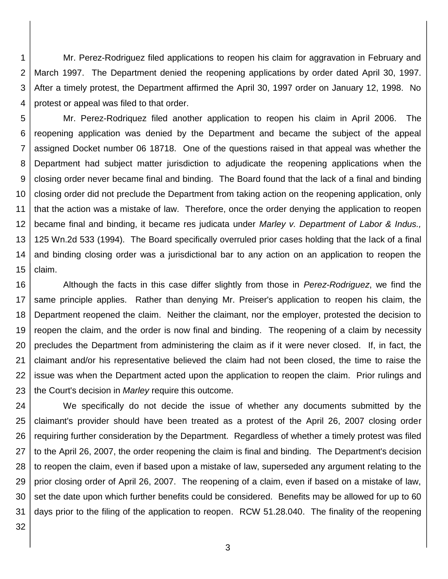1 2 3 4 Mr. Perez-Rodriguez filed applications to reopen his claim for aggravation in February and March 1997. The Department denied the reopening applications by order dated April 30, 1997. After a timely protest, the Department affirmed the April 30, 1997 order on January 12, 1998. No protest or appeal was filed to that order.

5 6 7 8 9 10 11 12 13 14 15 Mr. Perez-Rodriquez filed another application to reopen his claim in April 2006. The reopening application was denied by the Department and became the subject of the appeal assigned Docket number 06 18718. One of the questions raised in that appeal was whether the Department had subject matter jurisdiction to adjudicate the reopening applications when the closing order never became final and binding. The Board found that the lack of a final and binding closing order did not preclude the Department from taking action on the reopening application, only that the action was a mistake of law. Therefore, once the order denying the application to reopen became final and binding, it became res judicata under *Marley v. Department of Labor & Indus.,* 125 Wn.2d 533 (1994). The Board specifically overruled prior cases holding that the lack of a final and binding closing order was a jurisdictional bar to any action on an application to reopen the claim.

16 17 18 19 20 21 22 23 Although the facts in this case differ slightly from those in *Perez-Rodriguez*, we find the same principle applies. Rather than denying Mr. Preiser's application to reopen his claim, the Department reopened the claim. Neither the claimant, nor the employer, protested the decision to reopen the claim, and the order is now final and binding. The reopening of a claim by necessity precludes the Department from administering the claim as if it were never closed. If, in fact, the claimant and/or his representative believed the claim had not been closed, the time to raise the issue was when the Department acted upon the application to reopen the claim. Prior rulings and the Court's decision in *Marley* require this outcome.

24 25 26 27 28 29 30 31 We specifically do not decide the issue of whether any documents submitted by the claimant's provider should have been treated as a protest of the April 26, 2007 closing order requiring further consideration by the Department. Regardless of whether a timely protest was filed to the April 26, 2007, the order reopening the claim is final and binding. The Department's decision to reopen the claim, even if based upon a mistake of law, superseded any argument relating to the prior closing order of April 26, 2007. The reopening of a claim, even if based on a mistake of law, set the date upon which further benefits could be considered. Benefits may be allowed for up to 60 days prior to the filing of the application to reopen. RCW 51.28.040. The finality of the reopening

32

3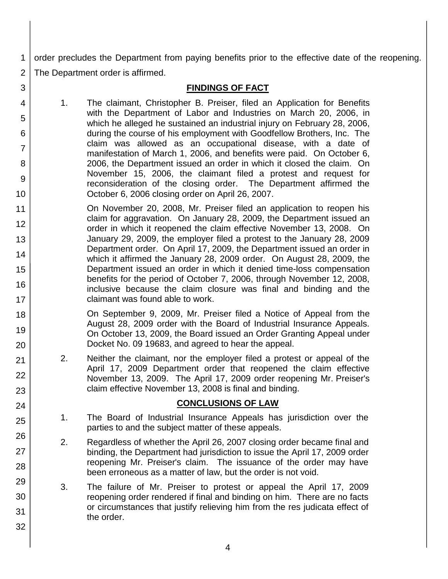1 2 order precludes the Department from paying benefits prior to the effective date of the reopening. The Department order is affirmed.

# **FINDINGS OF FACT**

1. The claimant, Christopher B. Preiser, filed an Application for Benefits with the Department of Labor and Industries on March 20, 2006, in which he alleged he sustained an industrial injury on February 28, 2006, during the course of his employment with Goodfellow Brothers, Inc. The claim was allowed as an occupational disease, with a date of manifestation of March 1, 2006, and benefits were paid. On October 6, 2006, the Department issued an order in which it closed the claim. On November 15, 2006, the claimant filed a protest and request for reconsideration of the closing order. The Department affirmed the October 6, 2006 closing order on April 26, 2007.

3

4

5

6

7

8

9

10

18

19

20

21 22

23

24

25

26

27

28

29

30

31

32

11 12 13 14 15 16 17 On November 20, 2008, Mr. Preiser filed an application to reopen his claim for aggravation. On January 28, 2009, the Department issued an order in which it reopened the claim effective November 13, 2008. On January 29, 2009, the employer filed a protest to the January 28, 2009 Department order. On April 17, 2009, the Department issued an order in which it affirmed the January 28, 2009 order. On August 28, 2009, the Department issued an order in which it denied time-loss compensation benefits for the period of October 7, 2006, through November 12, 2008, inclusive because the claim closure was final and binding and the claimant was found able to work.

> On September 9, 2009, Mr. Preiser filed a Notice of Appeal from the August 28, 2009 order with the Board of Industrial Insurance Appeals. On October 13, 2009, the Board issued an Order Granting Appeal under Docket No. 09 19683, and agreed to hear the appeal.

2. Neither the claimant, nor the employer filed a protest or appeal of the April 17, 2009 Department order that reopened the claim effective November 13, 2009. The April 17, 2009 order reopening Mr. Preiser's claim effective November 13, 2008 is final and binding.

## **CONCLUSIONS OF LAW**

- 1. The Board of Industrial Insurance Appeals has jurisdiction over the parties to and the subject matter of these appeals.
- 2. Regardless of whether the April 26, 2007 closing order became final and binding, the Department had jurisdiction to issue the April 17, 2009 order reopening Mr. Preiser's claim. The issuance of the order may have been erroneous as a matter of law, but the order is not void.
- 3. The failure of Mr. Preiser to protest or appeal the April 17, 2009 reopening order rendered if final and binding on him. There are no facts or circumstances that justify relieving him from the res judicata effect of the order.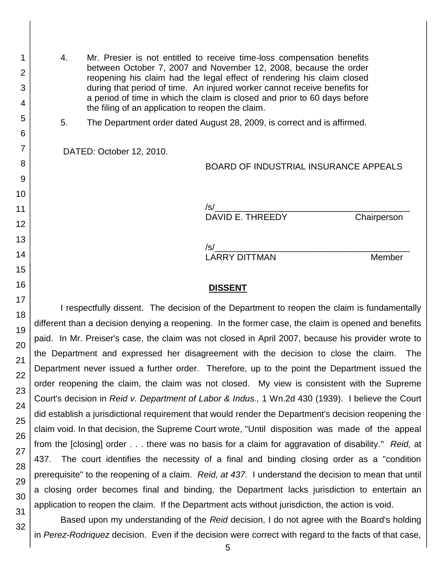4. Mr. Presier is not entitled to receive time-loss compensation benefits between October 7, 2007 and November 12, 2008, because the order reopening his claim had the legal effect of rendering his claim closed during that period of time. An injured worker cannot receive benefits for a period of time in which the claim is closed and prior to 60 days before the filing of an application to reopen the claim.

5. The Department order dated August 28, 2009, is correct and is affirmed.

DATED: October 12, 2010.

BOARD OF INDUSTRIAL INSURANCE APPEALS

/s/\_\_\_\_\_\_\_\_\_\_\_\_\_\_\_\_\_\_\_\_\_\_\_\_\_\_\_\_\_\_\_\_\_\_\_\_\_\_\_\_ DAVID E. THREEDY Chairperson

/s/\_\_\_\_\_\_\_\_\_\_\_\_\_\_\_\_\_\_\_\_\_\_\_\_\_\_\_\_\_\_\_\_\_\_\_\_\_\_\_\_ LARRY DITTMAN Member

#### **DISSENT**

I respectfully dissent. The decision of the Department to reopen the claim is fundamentally different than a decision denying a reopening. In the former case, the claim is opened and benefits paid. In Mr. Preiser's case, the claim was not closed in April 2007, because his provider wrote to the Department and expressed her disagreement with the decision to close the claim. The Department never issued a further order. Therefore, up to the point the Department issued the order reopening the claim, the claim was not closed. My view is consistent with the Supreme Court's decision in *Reid v. Department of Labor & Indus.,* 1 Wn.2d 430 (1939). I believe the Court did establish a jurisdictional requirement that would render the Department's decision reopening the claim void. In that decision, the Supreme Court wrote, "Until disposition was made of the appeal from the [closing] order . . . there was no basis for a claim for aggravation of disability." *Reid,* at 437. The court identifies the necessity of a final and binding closing order as a "condition prerequisite" to the reopening of a claim. *Reid, at 437.* I understand the decision to mean that until a closing order becomes final and binding, the Department lacks jurisdiction to entertain an application to reopen the claim. If the Department acts without jurisdiction, the action is void.

Based upon my understanding of the *Reid* decision, I do not agree with the Board's holding in *Perez-Rodriquez* decision. Even if the decision were correct with regard to the facts of that case,